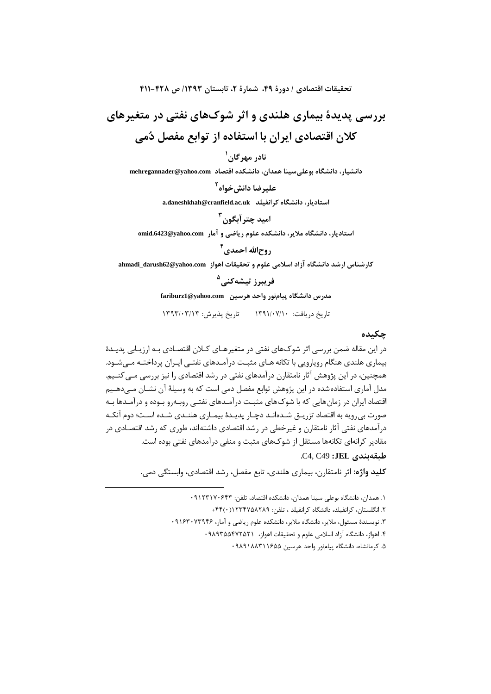تحقيقات اقتصادي / دورة ۴۹، شمارة ٢، تابستان ١٣٩٣/ ص ٤٢٨-٤١١

بررسی پدیدهٔ بیماری هلندی و اثر شوکهای نفتی در متغیرهای کلان اقتصادی ایران با استفاده از توابع مفصل دُمی

## نادر مهرگان<sup>(</sup>

دانشیار، دانشگاه بوعلی سینا همدان، دانشکده اقتصاد mehregannader@yahoo.com

عليرضا دانش خواه <sup>٢</sup>

a.daneshkhah@cranfield.ac.uk | متادیار، دانشگاه کرانفیلد

استادیار، دانشگاه ملایر، دانشکده علوم ریاضی و آمار .omid.6423@yahoo.com

# روح|لله احمدي<sup>۴</sup>

كارشناس ارشد دانشگاه آزاد اسلامی علوم و تحقیقات اهواز ahmadi\_darush62@yahoo.com

#### فريبرز تيشەكنى<sup>0</sup>

مدرس دانشگاه پیامنور واحد هرسین fariburz1@yahoo.com

تاریخ دریافت: ۱۳۹۱/۰۷/۱۰ - تاریخ پذیرش: ۱۳۹۳/۰۳/۱۳

## چکىدە

در این مقاله ضمن بررسی اثر شوکهای نفتی در متغیرهـای کـلان اقتصـادی بـه ارزیـابی پدیـدهٔ بیماری هلندی هنگام رویارویی با تکانه هـای مثبـت درآمـدهای نفتـی ایـران پرداختـه مـی شـود. .<br>همچنین، در این پژوهش آثار نامتقارن درآمدهای نفتی در رشد اقتصادی را نیز بررسی مـی کنــیم. مدل آماری استفاده شده در این پژوهش توابع مفصل دمی است که به وسیلهٔ آن نشـان مـیدهـیم اقتصاد ایران در زمان هایی که با شوک های مثبت درآمـدهای نفتـی روبـه٫و بـوده و درآمـدها بـه صورت بي,رويه به اقتصاد تزريــق شــدەانــد دچــار پديــدۀ بيمــاري هلنــدي شــده اســت؛ دوم آنكــه درآمدهای نفتی آثار نامتقارن و غیرخطی در رشد اقتصادی داشتهاند، طوری که رشد اقتصـادی در مقادیر کرانهای تکانهها مستقل از شوکهای مثبت و منفی درآمدهای نفتی بوده است.

طبقەيندى **JEL:** C4, C49.

**كليد واژه:** اثر نامتقارن، بيماري هلندي، تابع مفصل، رشد اقتصادي، وابستگي دمي.

١. همدان، دانشگاه بوعلی سینا همدان، دانشکده اقتصاد، تلفن: ٩١٢٣١٧٠۶۴٣ ۲. انگلستان، کرانفیلد، دانشگاه کرانفیلد ، تلفن: ۴۴۴٬۰)۱۲۳۴۷۵۸۲۸۹+ ۳. نویسندهٔ مسئول، ملایر، دانشگاه ملایر، دانشکده علوم ریاضی و آمار، ۹۱۶۳۰۷۳۹۴۶ ۴. اهواز، دانشگاه آزاد اسلامی علوم و تحقیقات اهواز، ۹۸۹۳۵۵۴۷۲۵۲۱ ۵. کرمانشاه، دانشگاه پیامنور واحد هرسین ۱۶۵۵٬۲۱۱۶۵۵ ۰۹۸۹۱۸۸۳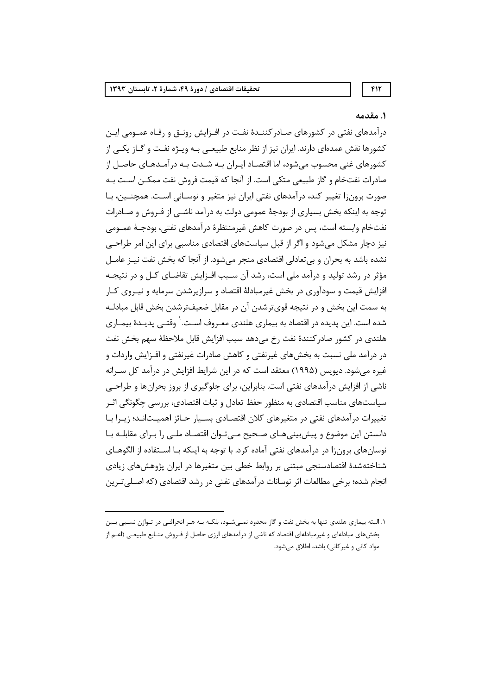#### ١. مقدمه

درآمدهای نفتی در کشورهای صـادر کننــدهٔ نفـت در افــزایش رونــق و رفــاه عمــومی ایــن کشورها نقش عمدهای دارند. ایران نیز از نظر منابع طبیعـی بـه ویـژه نفـت و گـاز یکـی از کشورهای غنی محسوب میشود، اما اقتصـاد ایـران بـه شـدت بـه درآمـدهـای حاصـل از صادرات نفتخام و گاز طبیعی متکی است. از آنجا که قیمت فروش نفت ممکــن اســت بــه صورت برون;ا تغییر کند، درآمدهای نفتی ایران نیز متغیر و نوسـانی اسـت. همچنـین، بـا توجه به اینکه بخش بسیاری از بودجهٔ عمومی دولت به درآمد ناشــی از فـروش و صــادرات نفتخام وابسته است، پس در صورت كاهش غيرمنتظرة درآمدهاي نفتي، بودجـهٔ عمــومي نیز دچار مشکل میشود و اگر از قبل سیاستهای اقتصادی مناسبی برای این امر طراحـی نشده باشد به بحران و بی تعادلی اقتصادی منجر می شود. از آنجا که بخش نفت نیـز عامـل مؤثر در رشد تولید و درآمد ملی است، رشد آن سـبب افـزایش تقاضـای کـل و در نتیجـه افزایش قیمت و سودآوری در بخش غیرمبادلهٔ اقتصاد و سرازپرشدن سرمایه و نیـروی کـار به سمت این بخش و در نتیجه قویترشدن آن در مقابل ضعیفترشدن بخش قابل مبادلـه شده است. این پدیده در اقتصاد به بیماری هلندی معـروف اسـت. <sup>۱</sup> وقتــی پدیــدهٔ بیمــاری هلندي در كشور صادركنندهٔ نفت رخ مي دهد سبب افزايش قابل ملاحظهٔ سهم بخش نفت در درآمد ملی نسبت به بخشهای غیرنفتی و کاهش صادرات غیرنفتی و افــزایش واردات و غیره میشود. دیویس (۱۹۹۵) معتقد است که در این شرایط افزایش در درآمد کل سـرانه ناشی از افزایش درآمدهای نفتی است. بنابراین، برای جلوگیری از بروز بحرانها و طراحـی سیاستهای مناسب اقتصادی به منظور حفظ تعادل و ثبات اقتصادی، بررسی چگونگی اثـر تغییرات درآمدهای نفتی در متغیرهای کلان اقتصادی بسـیار حـائز اهمیـتانـد؛ زیـرا بـا دانستن این موضوع و پیشبینیهـای صـحیح مـیتـوان اقتصـاد ملـی را بـرای مقابلـه بـا نوسانهای برون;ا در درآمدهای نفتی آماده کرد. با توجه به اینکه بـا اســتفاده از الگوهــای شناختهشدهٔ اقتصادسنجی مبتنی بر روابط خطی بین متغیرها در ایران پژوهشهای زیادی انجام شده؛ برخی مطالعات اثر نوسانات در آمدهای نفتی در رشد اقتصادی (که اصـلی تـرین

 $FT$ 

۱. البته بیماری هلندی تنها به بخش نفت و گاز محدود نمـیشـود، بلکـه بـه هـر انحرافـی در تـوازن نسـبی بـین بخشهای مبادلهای و غیرمبادلهای اقتصاد که ناشی از درآمدهای ارزی حاصل از فـروش منـابع طبیعـی (اعـم از مواد کانی و غیر کانی) باشد، اطلاق میشود.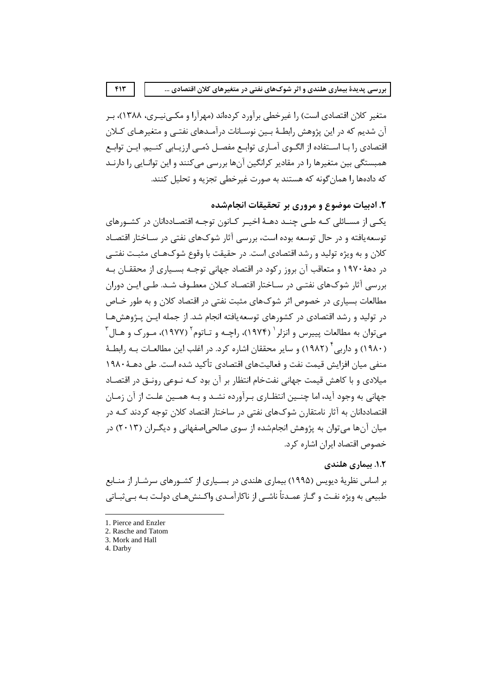متغیر کلان اقتصادی است) را غیرخطی برآورد کردهاند (مهرآرا و مکـی;پـری، ۱۳۸۸)، بـر آن شدیم که در این پژوهش رابطـهٔ بـین نوسـانات درآمـدهای نفتـی و متغیرهـای کـلان اقتصادی ,ا بـا اسـتفاده از الگــوی آمــاری توابــع مفصــل دُمــی ارزیــابی کنــیم. ایــن توابــع همبستگی بین متغیرها را در مقادیر کرانگین آنها بررسی می کنند و این توانـایی را دارنـد که دادهها را همان گونه که هستند به صورت غیرخطی تجزیه و تحلیل کنند.

٢. ادبيات موضوع و مروري پر تحقيقات انجامشده

یکے از مسـائلی کـه طـی چنـد دهـهٔ اخیـر کـانون توجـه اقتصـاددانان در کشـورهای توسعه یافته و در حال توسعه بوده است، بررسی آثار شوکهای نفتی در سـاختار اقتصـاد کلان و به ویژه تولید و رشد اقتصادی است. در حقیقت با وقوع شوکهـای مثبـت نفتـی در دههٔ ۱۹۷۰ و متعاقب آن بروز رکود در اقتصاد جهانی توجـه بسـیاری از محققـان بـه بررسی آثار شوکھای نفتے در سـاختار اقتصـاد کـلان معطـوف شـد. طـی ایـن دوران مطالعات بسیاری در خصوص اثر شوکهای مثبت نفتی در اقتصاد کلان و به طور خـاص در تولید و رشد اقتصادی در کشورهای توسعهپافته انجام شد. از جمله ایــن پــژوهش۵مـا میتوان به مطالعات پییرس و انزلر <sup>۱</sup> (۱۹۷۴)، راچـه و تـاتوم ۲ (۱۹۷۷)، مـورک و هـال ۳ (۱۹۸۰) و داربی ٔ (۱۹۸۲) و سایر محققان اشاره کرد. در اغلب این مطالعـات بــه رابطــهٔ منفی میان افزایش قیمت نفت و فعالیتهای اقتصادی تأکید شده است. طی دهــهٔ ۱۹۸۰ میلادی و با کاهش قیمت جهانی نفتخام انتظار بر آن بود کـه نـوعی رونـق در اقتصـاد جهانی به وجود آید، اما چنـین انتظـاری بـرآورده نشـد و بـه همـین علـت از آن زمـان اقتصاددانان به آثار نامتقارن شوکهای نفتی در ساختار اقتصاد کلان توجه کردند کـه در میان آنها می توان به پژوهش انجامشده از سوی صالحی|صفهانی و دیگـران (۲۰۱۳) در خصوص اقتصاد ايران اشاره كرد.

## ١.٢. بيماري هلندي

بر اساس نظریهٔ دیویس (۱۹۹۵) بیماری هلندی در بسـیاری از کشــورهای سرشــار از منــابع طبیعی به ویژه نفت و گـاز عمـدتاً ناشـی از ناکارآمـدی واکـنش۵هـای دولـت بـه بـی ثبـاتی

4. Darby

 $F1T$ 

<sup>1.</sup> Pierce and Enzler

<sup>2.</sup> Rasche and Tatom 3. Mork and Hall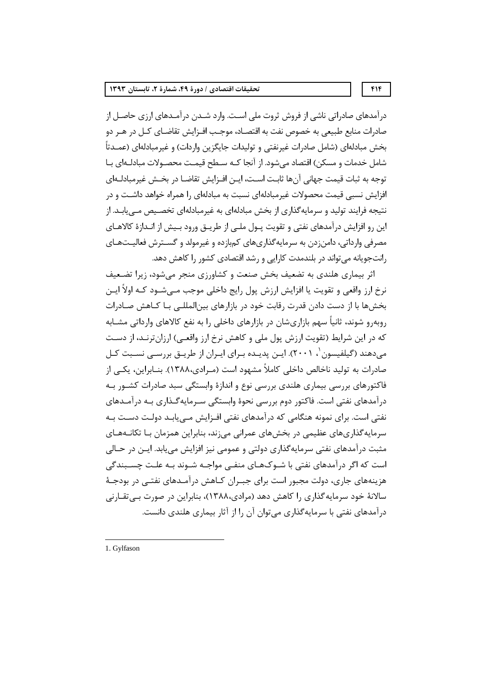درآمدهای صادراتی ناشی از فروش ثروت ملی اسـت. وارد شـدن درآمـدهای ارزی حاصـل از صادرات منابع طبیعی به خصوص نفت به اقتصـاد، موجـب افــزایش تقاضـای کــل در هــر دو بخش مبادلهای (شامل صادرات غیرنفتی و تولیدات جایگزین واردات) و غیرمبادلهای (عمـدتاً شامل خدمات و مسکن) اقتصاد می شود. از آنجا کـه سـطح قیمـت محصـولات مبادلـهای بـا توجه به ثبات قيمت جهاني آنها ثابـت اسـت، ايـن افـزايش تقاضـا در بخـش غيرمبادلـهاي افزایش نسبی قیمت محصولات غیرمبادلهای نسبت به مبادلهای را همراه خواهد داشــت و در نتیجه فرایند تولید و سرمایهگذاری از بخش مبادلهای به غیرمبادلهای تخصـیص مـیLیابـد. از این رو افزایش درآمدهای نفتی و تقویت پــول ملــی از طریــق ورود بــیش از انــدازهٔ کالاهــای مصرفی وارداتی، دامن;دن به سرمایه گذاریهای کمبازده و غیرمولد و گســترش فعالیــتهـای رانتجویانه می تواند در بلندمدت کارایی و رشد اقتصادی کشور را کاهش دهد.

اثر بیماری هلندی به تضعیف بخش صنعت و کشاورزی منجر می شود، زیرا تضعیف نرخ ارز واقعی و تقویت یا افزایش ارزش پول رایج داخلی موجب مــیشــود کــه اولاً ایــن بخشها با از دست دادن قدرت رقابت خود در بازارهای بین|لمللـی بـا کــاهش صــادرات روبهرو شوند، ثانیاً سهم بازاریشان در بازارهای داخلی را به نفع کالاهای وارداتی مشـابه که در این شرایط (تقویت ارزش پول ملی و کاهش نرخ ارز واقعـی) ارزانترنـد، از دسـت مے،دهند (گیلفیسون '، ۲۰۰۱). ایـن پدیـده بـرای ایـران از طریـق بررسـی نسـبت کـل صادرات به تولید ناخالص داخلی کاملاً مشهود است (مـرادی،۱۳۸۸). بنــابراین، یکــی از فاکتورهای بررسی بیماری هلندی بررسی نوع و اندازهٔ وابستگی سبد صادرات کشـور بـه درآمدهای نفتی است. فاکتور دوم بررسی نحوهٔ وابستگی سـرمایهگـذاری بـه درآمـدهای نفتی است. برای نمونه هنگامی که درآمدهای نفتی افـزایش مـییابـد دولـت دسـت بـه سرمایه گذاریهای عظیمی در بخشهای عمرانی میزند، بنابراین همزمان بـا تکانـههـای مثبت درآمدهای نفتی سرمایهگذاری دولتی و عمومی نیز افزایش می یابد. ایـن در حـالی است که اگر در آمدهای نفتی با شـوکـهـای منفـی مواجـه شـوند بـه علـت چسـبندگی هزینههای جاری، دولت مجبور است برای جبــران کــاهش درآمــدهای نفتــی در بودجــهٔ سالانهٔ خود سرمایه گذاری را کاهش دهد (مرادی،۱۳۸۸)، بنابراین در صورت بے تقـارنی درآمدهای نفتی با سرمایهگذاری می توان آن را از آثار بیماری هلندی دانست.

1. Gylfason

 $f$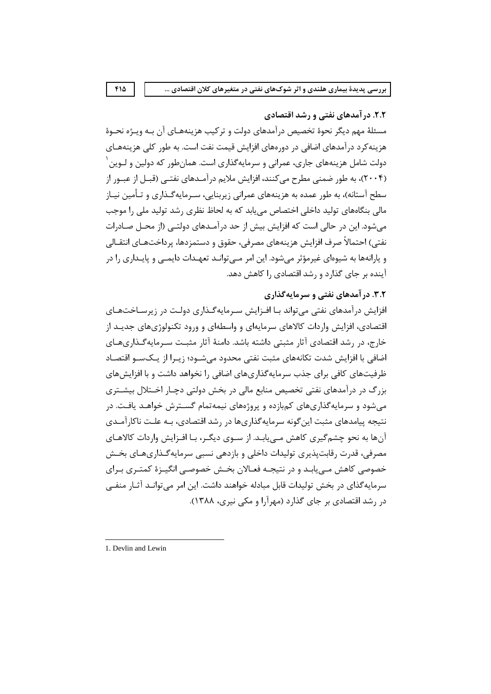۲.۲. در آمدهای نفتی و رشد اقتصادی

مسئلهٔ مهم دیگر نحوهٔ تخصیص درآمدهای دولت و ترکیب هزینههـای آن بـه ویـژه نحـوهٔ هزینه کرد درآمدهای اضافی در دورههای افزایش قیمت نفت است. به طور کلی هزینههـای دولت شامل هزینههای جاری، عمرانی و سرمایهگذاری است. همانطور که دولین و لـوین ٰ (۲۰۰۴)، به طور ضمنی مطرح می کنند، افزایش ملایم در آمـدهای نفتـی (قبـل از عبـور از سطح آستانه)، به طور عمده به هزینههای عمرانی زیربنایی، سـرمایهگـذاری و تـأمین نیـاز مالی بنگاههای تولید داخلی اختصاص می بابد که به لحاظ نظری رشد تولید ملی را موجب می شود. این در حالی است که افزایش بیش از حد درآمـدهای دولتـی (از محـل صـادرات نفتي) احتمالاً صرف افزايش هزينههاي مصرفي، حقوق و دستمزدها، يرداختهـاي انتقـالي و پارانهها به شیوهای غیرمؤثر می شود. این امر مــی توانــد تعهــدات دایمــی و پایــداری را در آینده بر جای گذارد و رشد اقتصادی ,ا کاهش دهد.

# ۳.۲. در آمدهای نفتی و سرمایه گذاری

افزایش درآمدهای نفتی می تواند بـا افـزایش سـرمایهگـذاری دولـت در زیرسـاختهـای اقتصادی، افزایش واردات کالاهای سرمایهای و واسطهای و ورود تکنولوژیهای جدیـد از خارج، در رشد اقتصادی آثار مثبتی داشته باشد. دامنهٔ آثار مثبت سـرمایهگـذاریهـای اضافی با افزایش شدت تکانههای مثبت نفتی محدود می شـود؛ زیـرا از یـکسـو اقتصـاد ظرفیتهای کافی برای جذب سرمایهگذاریهای اضافی را نخواهد داشت و با افزایش های بزرگ در درآمدهای نفتی تخصیص منابع مالی در بخش دولتی دچـار اخــتلال بیشــتری می شود و سرمایه گذاریهای کمبازده و پروژههای نیمه تمام گســترش خواهــد یافــت. در نتیجه پیامدهای مثبت این گونه سرمایه گذاریها در رشد اقتصادی، بـه علـت ناکارآمـدی آنها به نحو چشم گیری کاهش مے پابـد. از سـوی دیگـر، بـا افـزایش واردات کالاهـای مصرفی، قدرت رقابتپذیری تولیدات داخلی و بازدهی نسبی سرمایهگذاریهـای بخـش خصوصی کاهش مـیابـد و در نتيجـه فعـالان بخـش خصوصـی انگيـزهٔ کمتـری بـرای سرمایهگذای در بخش تولیدات قابل مبادله خواهند داشت. این امر میتوانـد آثـار منفـی در رشد اقتصادی بر جای گذارد (مهرآرا و مکی نیری، ۱۳۸۸).

<sup>1.</sup> Devlin and Lewin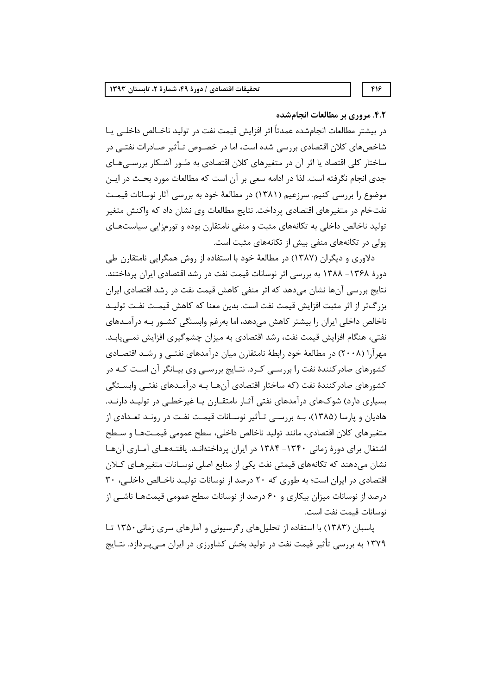#### ۴.۲. مروری بر مطالعات انجامشده

در بيشتر مطالعات انجامشده عمدتاً اثر افزايش قيمت نفت در توليد ناخــالص داخلــي يــا شاخصهای کلان اقتصادی بررسی شده است، اما در خصـوص تـأثیر صـادرات نفتــی در ساختار کلی اقتصاد یا اثر آن در متغیرهای کلان اقتصادی به طـور آشـکار بررسـی،هـای جدی انجام نگرفته است. لذا در ادامه سعی بر آن است که مطالعات مورد بحـث در ایـن موضوع را بررسی کنیم. سرزعیم (۱۳۸۱) در مطالعهٔ خود به بررسی آثار نوسانات قیمت نفتخام در متغیرهای اقتصادی پرداخت. نتایج مطالعات وی نشان داد که واکنش متغیر تولید ناخالص داخلی به تکانههای مثبت و منفی نامتقارن بوده و تورمزایی سیاستهـای یولی در تکانههای منفی بیش از تکانههای مثبت است.

دلاوري و ديگران (١٣٨٧) در مطالعهٔ خود با استفاده از روش همگرايي نامتقارن طي دورهٔ ۱۳۶۸– ۱۳۸۸ به بررسی اثر نوسانات قیمت نفت در رشد اقتصادی ایران پرداختند. نتایج بررسی آنها نشان می۵هد که اثر منفی کاهش قیمت نفت در رشد اقتصادی ایران بزرگ تر از اثر مثبت افزایش قیمت نفت است. بدین معنا که کاهش قیمـت نفـت تولیـد ناخالص داخلی ایران را بیشتر کاهش میدهد، اما بهرغم وابستگی کشــور بــه درآمــدهای نفتی، هنگام افزایش قیمت نفت، رشد اقتصادی به میزان چشمگیری افزایش نمــییابــد. مهرآرا (۲۰۰۸) در مطالعهٔ خود رابطهٔ نامتقارن میان درآمدهای نفتـی و رشـد اقتصـادی کشورهای صادرکنندهٔ نفت را بررسـی کـرد. نتـایج بررسـی وی بیـانگر آن اسـت کـه در کشورهای صادرکنندهٔ نفت (که ساختار اقتصادی آنهـا بـه درآمـدهای نفتـی وابســتگی بسیاری دارد) شوکهای درآمدهای نفتی آثـار نامتقـارن یـا غیرخطـی در تولیـد دارنـد. هادیان و پارسا (۱۳۸۵)، بـه بررسـی تـأثیر نوسـانات قیمـت نفـت در رونـد تعـدادی از متغيرهاي كلان اقتصادي، مانند توليد ناخالص داخلي، سطح عمومي قيمـتهـا و سـطح اشتغال برای دورهٔ زمانی ۱۳۴۰- ۱۳۸۴ در ایران پرداختهانـد. یافتـههـای آمـاری آنهـا نشان میدهند که تکانههای قیمتی نفت یکی از منابع اصلی نوسـانات متغیرهـای کـلان اقتصادی در ایران است؛ به طوری که ٢٠ درصد از نوسانات تولید ناخالص داخلی، ٣٠ درصد از نوسانات میزان بیکاری و ۶۰ درصد از نوسانات سطح عمومی قیمتهـا ناشــی از نوسانات قيمت نفت است.

یاسبان (۱۳۸۳) با استفاده از تحلیلهای رگرسیونی و آمارهای سری زمانی ۱۳۵۰ تا ۱۳۷۹ به بررسی تأثیر قیمت نفت در تولید بخش کشاورزی در ایران مـیپـردازد. نتـایج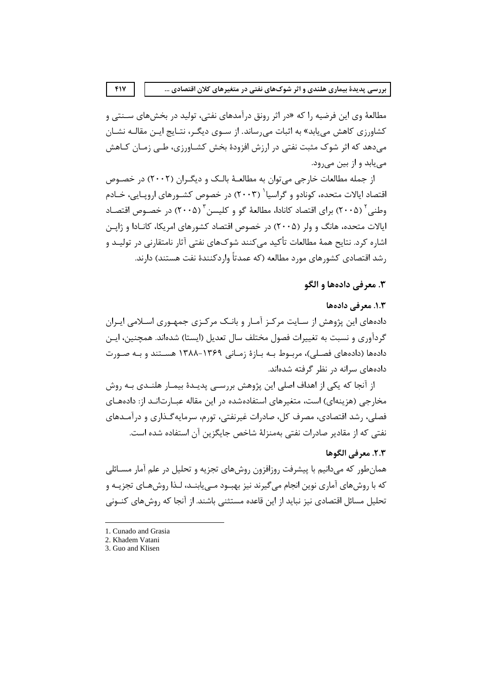مطالعهٔ وی این فرضیه را که «در اثر رونق درآمدهای نفتی، تولید در بخشهای سـنتی و کشاورزی کاهش می یابد» به اثبات می رساند. از سـوی دیگـر، نتـایج ایـن مقالـه نشـان می دهد که اثر شوک مثبت نفتی در ارزش افزودهٔ بخش کشـاورزی، طـی زمـان کـاهش مے پابد و از بین مے رود.

از جمله مطالعات خارجی می توان به مطالعـهٔ بالـک و دیگـران (۲۰۰۲) در خصـوص اقتصاد ایالات متحده، کونادو و گراسیا` (۲۰۰۳) در خصوص کشــورهای اروپــایی، خــادم وطنی<sup>۲</sup> (۲۰۰۵) برای اقتصاد کانادا، مطالعهٔ گو و کلیسن<sup>۳</sup> (۲۰۰۵) در خصـوص اقتصـاد ایالات متحده، هانگ و ولر (۲۰۰۵) در خصوص اقتصاد کشورهای امریکا، کانـادا و ژاپــن اشارہ کرد. نتایح همهٔ مطالعات تأکید مے کنند شوکھای نفتے ِ آثار نامتقارنی در تولیـد و رشد اقتصادی کشورهای مورد مطالعه (که عمدتاً واردکنندهٔ نفت هستند) دارند.

# ٣. معرفي دادهها و الگو

# ١.٣. معرفي دادهها

دادههای این پژوهش از سـایت مرکـز آمـار و بانـک مرکـزی جمهـوری اسـلامی ایـران گردآوری و نسبت به تغییرات فصول مختلف سال تعدیل (ایستا) شدهاند. همچنین، ایـن دادهها (دادههای فصلی)، مربوط بـه بـازهٔ زمـانی ۱۳۶۹-۱۳۸۸ هسـتند و بـه صـورت دادههای سرانه در نظر گرفته شدهاند.

از آنجا که یکی از اهداف اصلی این پژوهش بررسـی پدیــدهٔ بیمــار هلنــدی بــه روش مخارجی (هزینهای) است، متغیرهای استفادهشده در این مقاله عبـارتانـد از: دادههـای فصلی، رشد اقتصادی، مصرف کل، صادرات غیرنفتی، تورم، سرمایه گـذاری و درآمـدهای نفتی که از مقادیر صادرات نفتی بهمنزلهٔ شاخص جایگزین آن استفاده شده است.

### ٢.٣. معرفي الگوها

همانطور که میدانیم با پیشرفت روزافزون روشهای تجزیه و تحلیل در علم آمار مسـائلی که با روشهای آماری نوین انجام می گیرند نیز بهبـود مــی یابنــد، لـذا روشهـای تجزیــه و تحلیل مسائل اقتصادی نیز نباید از این قاعده مستثنی باشند. از آنجا که روش های کنــونی

<sup>1.</sup> Cunado and Grasia

<sup>2.</sup> Khadem Vatani

<sup>3.</sup> Guo and Klisen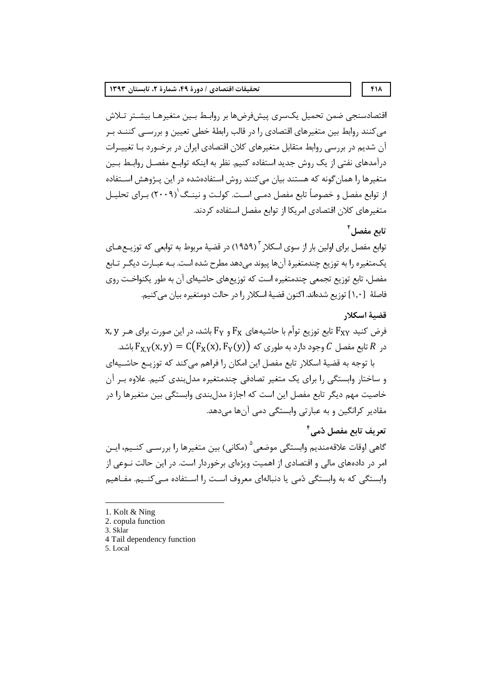اقتصادسنجي ضمن تحميل يكسري ييشفرضها بر روابط بـين متغيرهـا بيشـتر تـلاش می کنند روابط بین متغیرهای اقتصادی را در قالب رابطهٔ خطی تعیین و بررسـی کننــد بـر آن شدیم در بررسی روابط متقابل متغیرهای کلان اقتصادی ایران در برخـورد بـا تغییـرات درآمدهای نفتی از یک روش جدید استفاده کنیم. نظر به اینکه توابـع مفصـل روابـط بـین متغیرها را همان گونه که هستند بیان می کنند روش استفادهشده در این پـژوهش اسـتفاده از توابع مفصل و خصوصاً تابع مفصل دمــی اسـت. کولـت و نینــگ'(۲۰۰۹) بـرای تحلبــل متغیرهای کلان اقتصادی امریکا از توابع مفصل استفاده کردند.

# تابع مفصا آ

توابع مفصل برای اولین بار از سوی اسکلار ۱۹۵۹٬<sup>۳</sup> در قضیهٔ مربوط به توابعی که توزیــعهــای یکمتغیره را به توزیع چندمتغیرهٔ آنها پیوند میدهد مطرح شده است. بـه عبـارت دیگـر تـابع مفصل، تابع توزيع تجمعي چندمتغيره است كه توزيعهاي حاشيهاي آن به طور يكنواخـت روي فاصلهٔ [۱٫۰] توزیع شدهاند. اکنون قضیهٔ اسکلار را در حالت دومتغیره بیان می کنیم.

#### قضية اسكلار

 $x, y$  فرض کنید  $F_{XY}$  تابع توزیع توأم با حاشیههای  $F_{Y}$  و  $F_{Y}$  باشد، در این صورت برای هـر نایع مفصل  $\Gamma$  وجود دارد به طوری که  $\Gamma_{\rm X,Y}({\rm x},{\rm y}) = {\rm C}\big({\rm F}_{\rm X}({\rm x}), {\rm F}_{\rm Y}({\rm y})\big)$  در  $R$  تابع مفصل  $S$ 

با توجه به قضيهٔ اسكلار تابع مفصل اين امكان را فراهم مي كند كه توزيـع حاشـيهاي و ساختار وابستگی را برای یک متغیر تصادفی چندمتغیره مدل بندی کنیم. علاوه بـر آن خاصیت مهم دیگر تابع مفصل این است که اجازهٔ مدل بندی وابستگی بین متغیرها را در مقادیر کرانگین و به عبارتی وابستگی دمی آنها میدهد.

# تعريف تابع مفصل دُمي<sup>۴</sup>

گاهی اوقات علاقهمندیم وابستگی موضعی<sup>۵</sup> (مکانی) بین متغیرها را بررســی کنــیم، ایــن امر در دادههای مالی و اقتصادی از اهمیت ویژهای برخوردار است. در این حالت نــوعی از وابستگی که به وابستگی دُمی یا دنبالهای معروف است را اسـتفاده مــی کنــیم. مفــاهیم

- 2. copula function
- 3. Sklar
- 4 Tail dependency function
- 5. Local

 $F1\Lambda$ 

<sup>1.</sup> Kolt & Ning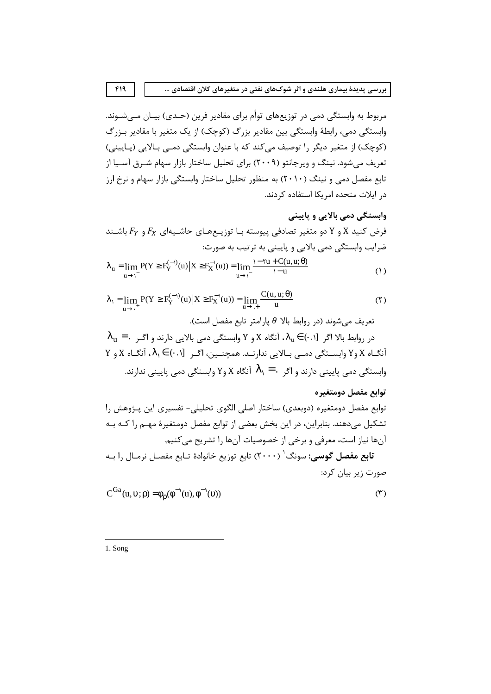مربوط به وابستگی دمی در توزیعهای توأم برای مقادیر فرین (حـدی) بیـان مـیشـوند. وابستگی دمی، رابطهٔ وابستگی بین مقادیر بزرگ (کوچک) از یک متغیر با مقادیر بـزرگ (کوچک) از متغیر دیگر را توصیف می کند که با عنوان وابستگی دمـی بـالایی (پـایینی) تعریف می شود. نینگ و ویرجانتو (۲۰۰۹) برای تحلیل ساختار بازار سهام شـرق آسـیا از تابع مفصل دمی و نینگ (۲۰۱۰) به منظور تحلیل ساختار وابستگی بازار سهام و نرخ ارز در ایلات متحده امریکا استفاده کردند.

وابستکی دمی بالایی و پایینی  
فرض کنید X و Y دو متغیر تصادفی پیوسته با توزیحهای حاشیهای 
$$
F_X
$$
 و  $F_Y$  باش ند  
ضرایب وابستگی دمی بالایی و پایینی به ترتیب به صورت:  

$$
\lambda_u = \lim_{u \to \Gamma} P(Y \ge F_Y^{(-)}(u) | X \ge F_X^{-1}(u)) = \lim_{u \to \Gamma} \frac{1 - \Upsilon u + C(u, u; \theta)}{1 - u}
$$
 (1)

$$
\lambda_1 = \lim_{u \to \cdot^+} P(Y \ge F_Y^{(-1)}(u) \mid X \ge F_X^{-1}(u)) = \lim_{u \to \cdot^+} \frac{C(u, u; \theta)}{u}
$$
(1)

 $\sigma$ تعریف می شوند (در روابط بالا  $\theta$  پارامتر تابع مفصل است).  $\lambda_{\rm u}$   $=$   $\lambda_{\rm u}$  - در روابط بالا اگر  $\lambda_{\rm u} \in (0,1)$  ، آنگاه  $X$  و Y وابستگی دمی بالایی دارند و اگـر  $Y$ انگـاه X وY وابسـتگی دمـی بـالایی ندارنـد. همچنـین، اگـر  $\lambda_1 \in (\cdot, \cdot)$ ، آنگـاه X و Y وابستگی دمی پایینی دارند و اگر  $\lambda_1 = \lambda_1 = \lambda_2$  آنگاه X وY وابستگی دمی پایینی ندارند.

## توابع مفصل دومتغیره

توابع مفصل دومتغیره (دوبعدی) ساختار اصلی الگوی تحلیلی- تفسیری این پـژوهش را تشکیل میدهند. بنابراین، در این بخش بعضی از توابع مفصل دومتغیرهٔ مهـم را کـه بـه آنها نياز است، معرفي و برخي از خصوصيات آنها را تشريح ميكنيم. <mark>تابع مفصل گوسی</mark>: سونگ<sup>'</sup> (۲۰۰۰) تابع توزیع خانوادهٔ تـابع مفصـل نرمـال را بـه صورت زیر بیان کرد:

$$
C^{Ga}(u, v; \rho) = \phi_0(\phi^{-1}(u), \phi^{-1}(v))
$$
\n<sup>(T)</sup>

1. Song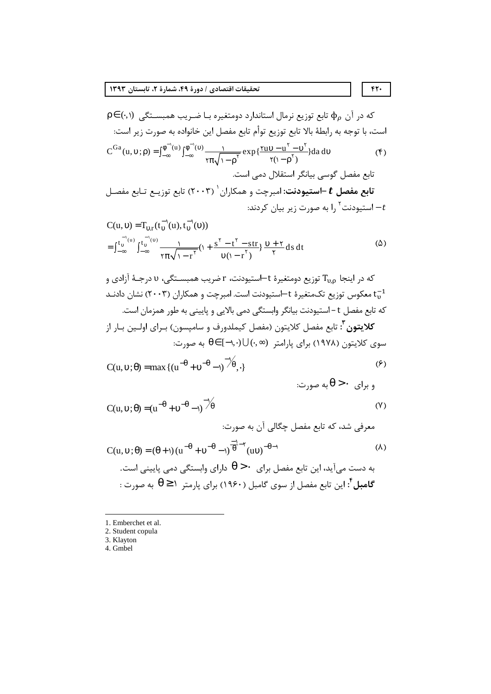که در آن مΦ تابع توزیع نرمال استاندارد دومتغیره با ضریب همبستگی (۰,۱) ρو ۲ (۰) ۲) ۲  
است، با توجه به رابطهٔ بالا تابع توزیع توأم تابع مفصل این خانواده به صورت زیر است:  
\n
$$
C^{Ga}(u, v; \rho) = \int_{-\infty}^{\phi^{-1}(u)} \int_{-\infty}^{\phi^{-1}(v)} \frac{1}{\pi \sqrt{1-\rho^{\nu}}} exp{\frac{\nu v - u^{\nu} - v^{\nu}}{\nu}} da dv
$$
 (۴)  
\n $\frac{1}{\sqrt{1-\rho^{\nu}}} \frac{1}{\sqrt{1-\rho^{\nu}}} exp{\frac{\nu v - v^{\nu}}{\nu}} \frac{1}{\sqrt{1-\rho^{\nu}}} = \frac{1}{\sqrt{1-\rho^{\nu}}} \frac{1}{\sqrt{1-\rho^{\nu}}} \frac{1}{\sqrt{1-\rho^{\nu}}} \frac{1}{\sqrt{1-\rho^{\nu}}} \frac{1}{\sqrt{1-\rho^{\nu}}} = \frac{1}{\sqrt{1-\rho^{\nu}}} \frac{1}{\sqrt{1-\rho^{\nu}}} \frac{1}{\sqrt{1-\rho^{\nu}}} \frac{1}{\sqrt{1-\rho^{\nu}}} \frac{1}{\sqrt{1-\rho^{\nu}}} \frac{1}{\sqrt{1-\rho^{\nu}}} \frac{1}{\sqrt{1-\rho^{\nu}}} \frac{1}{\sqrt{1-\rho^{\nu}}} \frac{1}{\sqrt{1-\rho^{\nu}}} \frac{1}{\sqrt{1-\rho^{\nu}}} \frac{1}{\sqrt{1-\rho^{\nu}}} \frac{1}{\sqrt{1-\rho^{\nu}}} \frac{1}{\sqrt{1-\rho^{\nu}}} \frac{1}{\sqrt{1-\rho^{\nu}}} \frac{1}{\sqrt{1-\rho^{\nu}}} \frac{1}{\sqrt{1-\rho^{\nu}}} \frac{1}{\sqrt{1-\rho^{\nu}}} \frac{1}{\sqrt{1-\rho^{\nu}}} \frac{1}{\sqrt{1-\rho^{\nu}}} \frac{1}{\sqrt{1-\rho^{\nu}}} \frac{1}{\sqrt{1-\rho^{\nu}}} \frac{1}{\sqrt{1-\rho^{\nu}}} \frac{1}{\sqrt{1-\rho^{\nu}}} \frac{1}{\sqrt{1-\rho^{\nu}}} \frac{1}{\sqrt{1-\rho^{\nu}}} \frac{1}{\sqrt{1-\rho^{\nu}}} \frac{1}{\sqrt{1-\rho^{\nu}}} \frac{1}{\sqrt{1-\$ 

$$
C(u, v) = T_{v,r}(t_v^{-1}(u), t_v^{-1}(v))
$$
  
= 
$$
\int_{-\infty}^{t_v^{-1}(u)} \int_{-\infty}^{t_v^{-1}(v)} \frac{1}{\tau \pi \sqrt{1 - r^{\tau}}} (1 + \frac{s^{\tau} - t^{\tau} - str}{v(1 - r^{\tau})}) \frac{v + \tau}{\tau} ds dt
$$
 (2)

که در اینجا  $\rm T_{\rm u,o}$  توزیع دومتغیرهٔ t–استیودنت، r ضریب همبسـتگی، v درجـهٔ آزادی و معکوس توزیع تکمتغیرهٔ t–استیودنت است. امبرچت و همکاران (۲۰۰۳) نشان دادنـد  $\mathrm{t_{\mathrm{u}}}^{-1}$ که تابع مفصل t – استیودنت بیانگر وابستگی دمی بالایی و پایینی به طور همزمان است. **كلايتون<sup>7</sup>:** تابع مفصل كلايتون (مفصل كيملدورف و سامپسون) بـراي اولـين بـار از سوی کلایتون (۱۹۷۸) برای پارامتر  $\cup (\cdot, \infty)$  (۱۰٫۰) به صورت:

$$
C(u, v; \theta) = \max \{ (u^{-\theta} + v^{-\theta} - 1)^{-1/2}, \} \tag{9}
$$

و برای  $\cdot < \theta$ به صورت:

$$
C(u, v; \theta) = (u^{-\theta} + v^{-\theta} - v)^{-\frac{1}{\theta}}
$$
\n
$$
\text{Area of } u
$$

 $\mathcal{L}$ 

$$
C(u, v; θ) = (θ + 1) (u-θ + v-θ - 1) \frac{1}{θ} (uv)-θ-1
$$
\n
$$
+ Ω = (θ + 1) (u-θ + v-θ - 1) \frac{1}{θ} (uv)-θ-1
$$
\n
$$
+ Ω = 1 \text{ and } 1 \text{ and } 1 \text{ and } 1 \text{ and } 1 \text{ and } 1 \text{ and } 1 \text{ and } 1 \text{ and } 1 \text{ and } 1 \text{ and } 1 \text{ and } 1 \text{ and } 1 \text{ and } 1 \text{ and } 1 \text{ and } 1 \text{ and } 1 \text{ and } 1 \text{ and } 1 \text{ and } 1 \text{ and } 1 \text{ and } 1 \text{ and } 1 \text{ and } 1 \text{ and } 1 \text{ and } 1 \text{ and } 1 \text{ and } 1 \text{ and } 1 \text{ and } 1 \text{ and } 1 \text{ and } 1 \text{ and } 1 \text{ and } 1 \text{ and } 1 \text{ and } 1 \text{ and } 1 \text{ and } 1 \text{ and } 1 \text{ and } 1 \text{ and } 1 \text{ and } 1 \text{ and } 1 \text{ and } 1 \text{ and } 1 \text{ and } 1 \text{ and } 1 \text{ and } 1 \text{ and } 1 \text{ and } 1 \text{ and } 1 \text{ and } 1 \text{ and } 1 \text{ and } 1 \text{ and } 1 \text{ and } 1 \text{ and } 1 \text{ and } 1 \text{ and } 1 \text{ and } 1 \text{ and } 1 \text{ and } 1 \text{ and } 1 \text{ and } 1 \text{ and } 1 \text{ and } 1 \text{ and } 1 \text{ and } 1 \text{ and } 1 \text{ and } 1 \text{ and } 1 \text{ and } 1 \text{ and } 1 \text{ and } 1 \text{ and } 1 \text{ and } 1 \text{ and } 1 \text{ and } 1 \text{ and } 1 \text{ and } 1 \text{ and } 1 \text{ and } 1 \text{ and } 1 \text{ and } 1 \text{ and } 1 \text{ and } 1 \text{ and } 1 \text{ and } 1 \text{ and } 1 \text{ and } 1 \text{ and
$$

2. Student copula

 $FT.$ 

<sup>1.</sup> Emberchet et al.

<sup>3.</sup> Klayton

<sup>4.</sup> Gmbel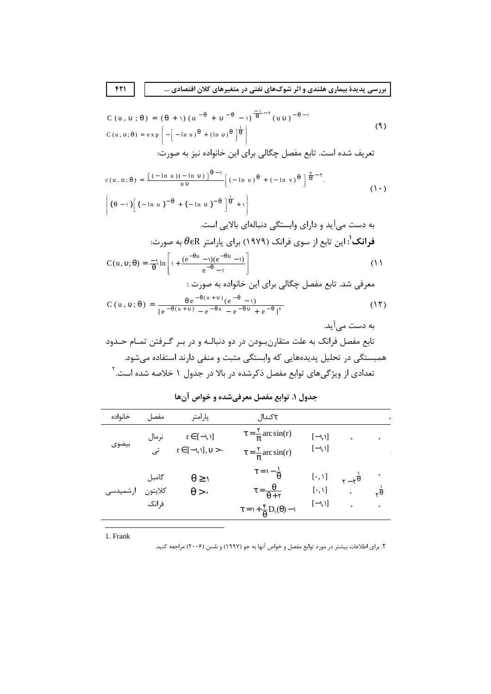$$
C (u, v; θ) = (θ + 1) (u-θ + v-θ - 1)-1 (uv)-θ-1
$$
\n
$$
C (u, v; θ) = exp \left\{-\left[-\ln u\right)^{θ} + (\ln v)^{θ}\right]^{\frac{1}{\theta}}
$$
\n
$$
\text{Var}(u, v; θ) = exp \left\{-\left[-\ln u\right)^{\frac{1}{\theta}} + (\ln v)^{θ}\right]^{\frac{1}{\theta}}
$$
\n
$$
\text{Var}(u, v; θ) = \left[\frac{1}{\theta} - \ln u\right]^{\frac{1}{\theta}} + \left[\frac{1}{\theta} - \ln u\right]^{\frac{1}{\theta}}
$$
\n
$$
\text{Var}(u, v; θ) = \left[\frac{1}{\theta} - \ln u\right]^{\frac{1}{\theta}} + \left[\frac{1}{\theta} - \ln u\right]^{\frac{1}{\theta}}
$$
\n
$$
\text{Var}(u, v; θ) = \left[\frac{1}{\theta} - \ln u\right]^{\frac{1}{\theta}} + \left[\frac{1}{\theta} - \ln u\right]^{\frac{1}{\theta}}
$$
\n
$$
\text{Var}(u, v; θ) = \left[\frac{1}{\theta} - \ln u\right]^{\frac{1}{\theta}}
$$
\n
$$
\text{Var}(u, v; θ) = \left[\frac{1}{\theta} - \ln u\right]^{\frac{1}{\theta}}
$$
\n
$$
\text{Var}(u, v; θ) = \left[\frac{1}{\theta} - \ln u\right]^{\frac{1}{\theta}}
$$
\n
$$
\text{Var}(u, v; θ) = \left[\frac{1}{\theta} - \ln u\right]^{\frac{1}{\theta}}
$$

$$
c(u, v; \theta) = \frac{\left[(-\ln u)(-\ln v)\right]^{\theta - 1}}{uv} \left[(-\ln u)^{\theta} + (-\ln v)^{\theta}\right]^{\frac{\gamma}{\theta} - \gamma}.
$$
\n
$$
\left\{(\theta - 1)\left[(-\ln u)^{-\theta} + (-\ln v)^{-\theta}\right]^{\frac{1}{\theta}} + 1\right\}
$$
\n
$$
\Rightarrow B = \frac{1}{2} \left[0.94 \text{ m}^2 + 0.04 \text{ m}^2\right] \text{ m}^2.
$$
\n
$$
\left\{(\theta - 1)\left[0.94 \text{ m}^2 + 0.04 \text{ m}^2\right] \text{ m}^2 + 0.04 \text{ m}^2\right\}.
$$
\n
$$
\left\{(\theta - 1)\left[0.94 \text{ m}^2 + 0.04 \text{ m}^2\right] \text{ m}^2\right\}.
$$
\n
$$
\left\{(\theta - 1)\left[0.94 \text{ m}^2 + 0.04 \text{ m}^2\right] \text{ m}^2\right\}.
$$
\n
$$
\left\{(\theta - 1)\left[0.94 \text{ m}^2 + 0.04 \text{ m}^2\right] \text{ m}^2\right\}.
$$
\n
$$
\left\{(\theta - 1)\left[0.94 \text{ m}^2 + 0.04 \text{ m}^2\right] \text{ m}^2\right\}.
$$
\n
$$
\left\{(\theta - 1)\left[0.94 \text{ m}^2 + 0.04 \text{ m}^2\right] \text{ m}^2\right\}.
$$

$$
C(u, v; \theta) = \frac{-1}{\theta} \ln \left[ 1 + \frac{(e^{-\theta u} - 1)(e^{-\theta v} - 1)}{e^{-\theta} - 1} \right]
$$
\n(1)

$$
C(u, v; \theta) = \frac{\theta e^{-\theta(u+v)} (e^{-\theta} - 1)}{[e^{-\theta(u+v)} - e^{-\theta u} - e^{-\theta v} + e^{-\theta}]^{\tau}}
$$
(17)

| خانواده | مفصا                      | پارامتر                                          | πکندال                                                                                                                                              |                                                         |                                           |                         |
|---------|---------------------------|--------------------------------------------------|-----------------------------------------------------------------------------------------------------------------------------------------------------|---------------------------------------------------------|-------------------------------------------|-------------------------|
| بيضوى   | نرمال<br>تى               | $r \in [-1, 1]$<br>$r \in [-1, 1], \upsilon > 0$ | $\tau = \frac{v}{\pi}$ arc sin(r)<br>$\tau = \frac{v}{\pi}$ arc sin(r)                                                                              | $[-1, 1]$<br>$[-1, 1]$                                  |                                           |                         |
|         | گامبل<br>كلايتون<br>فرانک | $0 \leq t$<br>$\theta > 0$                       | $\tau = \frac{1}{\theta}$<br>$\tau = \frac{\theta}{\theta + \tau}$<br>$\tau = \iota + \frac{\mathfrak{e}}{\theta} D_{\mathfrak{e}}(\theta) - \iota$ | $[\cdot, \cdot]$<br>$[\cdot, \mathcal{N}]$<br>$[-1, 1]$ | $\vec{r}-\vec{r}$<br>$\ddot{\phantom{0}}$ | $\frac{1}{\theta}$<br>٠ |

جدول ۱. توابع مفصل معرفیشده و خواص آنها

1. Frank

۲. برای اطلاعات بیشتر در مورد توابع مفصل و خواص آنها به جو (۱۹۹۷) و نلسن (۲۰۰۶) مراجعه کنید.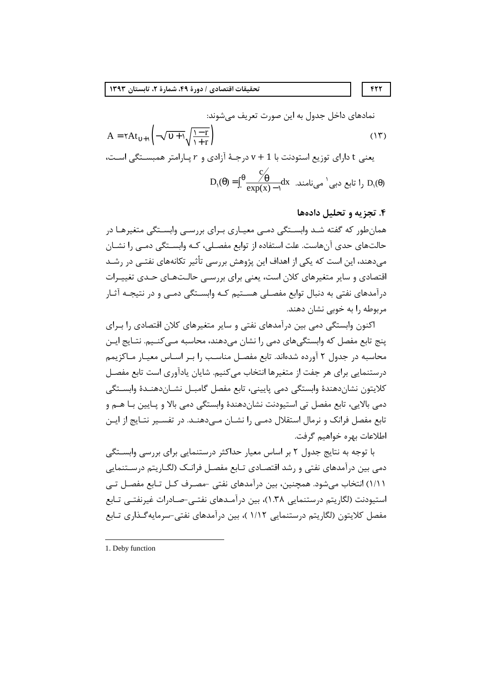نمادهای داخل جدول به این صورت تعریف میشوند:  
\n
$$
A = \tau At_{\nu+1} \left( -\sqrt{\nu+1} \sqrt{\frac{1-r}{1+r}} \right)
$$
\n
$$
v + 1
$$
\n
$$
v + 1
$$
\n
$$
v = \frac{c}{\exp(x) - 1} dx
$$
\n
$$
D_1(\theta) = \int_0^\theta \frac{C_0}{\exp(x) - 1} dx
$$
\n
$$
D_1(\theta) = \int_0^\theta \frac{C_0}{\exp(x) - 1} dx
$$

#### ۴. تجزیه و تحلیل دادهها

همان طور که گفته شـد وابسـتگی دمـی معیـاری بـرای بررسـی وابسـتگی متغیرهـا در حالتهای حدی آنهاست. علت استفاده از توابع مفصلی، کـه وابسـتگی دمـی را نشـان میدهند، این است که یکی از اهداف این پژوهش بررسی تأثیر تکانههای نفتـی در رشـد اقتصادی و سایر متغیرهای کلان است، یعنی برای بررسے حالـتھـای حـدی تغییـرات درآمدهای نفتی به دنبال توابع مفصـلی هسـتیم کـه وابسـتگی دمـی و در نتیجـه آثـار مربوطه ,ا به خوبی نشان دهند.

اکنون وابستگی دمی بین درآمدهای نفتی و سایر متغیرهای کلان اقتصادی را بـرای پنج تابع مفصل که وابستگیهای دمی را نشان میدهند، محاسبه مـیکنـیم. نتـایج ایـن محاسبه در جدول ۲ آورده شدهاند. تابع مفصـل مناسـب ۱٫ بـر اسـاس معيـار مـاكزيمم درستنمایی برای هر جفت از متغیرها انتخاب می کنیم. شایان یادآوری است تابع مفصل كلايتون نشاندهندة وابستكي دمى پاييني، تابع مفصل گامبـل نشـاندهنـدة وابسـتگي دمی بالایی، تابع مفصل تی استیودنت نشاندهندهٔ وابستگی دمی بالا و پـایین بـا هــم و تابع مفصل فرانک و نرمال استقلال دمـی را نشـان مـی‹هنـد. در تفسـير نتـايج از ايـن اطلاعات بهره خواهيم گرفت.

با توجه به نتایج جدول ۲ بر اساس معیار حداکثر درستنمایی برای بررسی وابسـتگی دمی بین درآمدهای نفتی و رشد اقتصـادی تـابع مفصـل فرانـک (لگـاریتم درسـتنمایی ۱/۱۱) انتخاب میشود. همچنین، بین درآمدهای نفتی -مصـرف کـل تـابع مفصـل تـی استیودنت (لگاریتم درستنمایی ۱.۳۸)، بین درآمـدهای نفتـی-صـادرات غیرنفتـی تـابع مفصل کلایتون (لگاریتم درستنمایی ۱/۱۲ )، بین درآمدهای نفتی–سرمایه *گ*ـذاری تـابع

 $FTT$ 

<sup>1.</sup> Deby function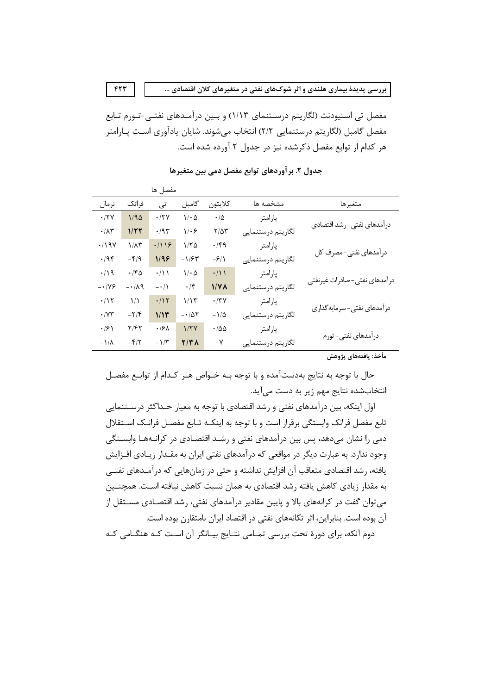مفصل تی استیودنت (لگاریتم درسـتنمای ۱/۱۳) و بـین درآمـدهای نفتـی-تـورم تـابع مفصل گامبل (لگاريتم درستنمايي ٢/٢) انتخاب ميشوند. شايان يادآوري اسـت پــارامتر هر كدام از توابع مفصل ذكرشده نيز در جدول ٢ آورده شده است.

 $FTT$ 

|                                                 |                          | مفصل ها     |                                 |                             |                   |                              |  |
|-------------------------------------------------|--------------------------|-------------|---------------------------------|-----------------------------|-------------------|------------------------------|--|
| نرمال                                           | فرانک                    | تى          | گامبل                           | كلايتون                     | مشخصه ها          | متغيرها                      |  |
| $\cdot$ /۲۷                                     | 1/90                     | $\cdot$ /٢٧ | $1/\cdot \Delta$                | $\cdot/\Delta$              | پارامتر           | درآمدهای نفتی-رشد اقتصادی    |  |
| $\cdot$ /<br>$\wedge\uparrow$                   | 1/22                     | $\cdot$ /9٣ | $1-\epsilon$                    | $-\frac{5}{4}$              | لگاريتم درستنمايي |                              |  |
| $\cdot$ /19 $\gamma$                            | $1/\lambda$ ۳            | .7119       | 1/70                            | $\cdot$ /۴۹                 | پارامتر           | درآمدهای نفتی-مصرف کل        |  |
| $\cdot$ /9 $\mathfrak{f}$                       | $-\mathbf{f}/\mathbf{q}$ | 1/99        | $-1/54$                         | $-\frac{\epsilon}{\lambda}$ | لگاريتم درستنمايي |                              |  |
| $\cdot/\mathop{\backslash} \mathop{\mathsf{q}}$ | $\cdot$ /۴۵              | $\cdot/$    | $\mathcal{N} \cdot \mathcal{Q}$ | $\cdot/$                    | پارامتر           |                              |  |
| $- \cdot / \sqrt{5}$                            | $-1/\lambda$ 9           | $-\cdot/$   | $\cdot$ /۴                      | $1/\gamma \Lambda$          | لگاريتم درستنمايي | درآمدهای نفتی-صادرات غیرنفتی |  |
| $\cdot/15$                                      | $\frac{1}{\lambda}$      | $\cdot/15$  | 1/15                            | $\cdot$ /٣٧                 | پارامتر           |                              |  |
| ۰/۷۳                                            | $-\mathbf{Y}/\mathbf{Y}$ | 1/11        | $-\cdot/\Delta\Upsilon$         | $-\,1/\Delta$               | لگاريتم درستنمايي | درآمدهای نفتی-سرمایهگذاری    |  |
| $\cdot$ /۶)                                     | ۲/۴۲                     | $\cdot$ /۶۸ | 1/7V                            | $\cdot$ /00                 | پارامتر           |                              |  |
| $-\frac{1}{\Lambda}$                            | $-\mathbf{f}/\mathbf{r}$ | $-1/\tau$   | <b>T/ TA</b>                    | $-\mathsf{V}$               | لگاريتم درستنمايي | درآمدهای نفتی- تورم          |  |

جدول ٢. بر آوردهای توابع مفصل دمی بین متغیرها

مأخذ: يافتههاي پژوهش

حال با توجه به نتایج بهدستآمده و با توجه بـه خـواص هـر کـدام از توابـع مفصـل انتخابشده نتایج مهم زیر به دست می آید.

اول اینکه، بین درآمدهای نفتی و رشد اقتصادی با توجه به معیار حـداکثر درسـتنمایی تابع مفصل فرانک وابستگی برقرار است و با توجه به اینکـه تـابع مفصـل فرانـک اســتقلال دمی را نشان میدهد، پس بین درآمدهای نفتی و رشـد اقتصـادی در کرانـههـا وابســتگی وجود ندارد. به عبارت دیگر در مواقعی که درآمدهای نفتی ایران به مقـدار زیـادی افـزایش یافته، رشد اقتصادی متعاقب آن افزایش نداشته و حتی در زمانهایی که درآمـدهای نفتـی به مقدار زیادی کاهش یافته رشد اقتصادی به همان نسبت کاهش نیافته اسـت. همچنـین می توان گفت در کرانههای بالا و پایین مقادیر درآمدهای نفتی، رشد اقتصـادی مســتقل از آن بوده است. بنابراین، اثر تکانههای نفتی در اقتصاد ایران نامتقارن بوده است. دوم آنکه، برای دورهٔ تحت بررسی تمـامی نتـایج بیـانگر آن اسـت کـه هنگـامی کـه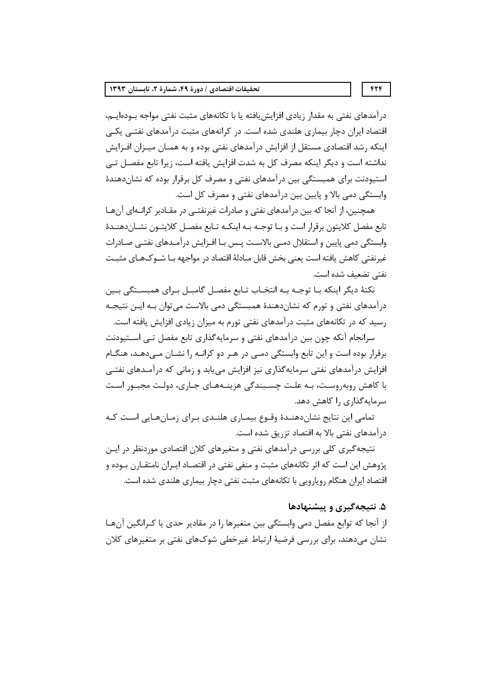درآمدهای نفتی به مقدار زیادی افزایش یافته یا با تکانههای مثبت نفتی مواجه بــوده|یــم، اقتصاد ایران دچار بیماری هلندی شده است. در کرانههای مثبت درآمدهای نفتـی یکـی اینکه رشد اقتصادی مستقل از افزایش درآمدهای نفتی بوده و به همـان میـزان افـزایش نداشته است و دیگر اینکه مصرف کل به شدت افزایش یافته است، زیرا تابع مفصل تے استیودنت برای همبستگی بین درآمدهای نفتی و مصرف کل برقرار بوده که نشاندهندهٔ وابستگی دمی بالا و پایین بین درآمدهای نفتی و مصرف کل است.

همچنین، از آنجا که بین درآمدهای نفتی و صادرات غیرنفتـی در مقـادیر کرانـهای آنهـا تابع مفصل كلايتون برقرار است و بـا توجـه بـه اينكـه تـابع مفصـل كلايتـون نشـان‹هنـدهٔ وابستگی دمی پایین و استقلال دمـی بالاسـت پـس بـا افـزایش درآمـدهای نفتـی صـادرات غیرنفتی کاهش یافته است یعنی بخش قابل مبادلهٔ اقتصاد در مواجهه بـا شــوکـهـای مثبــت نفتى تضعيف شده است.

نکتهٔ دیگر اینکه بـا توجـه بـه انتخـاب تـابع مفصـل گامبـل بـرای همبسـتگی بـین درآمدهای نفتی و تورم که نشاندهندهٔ همبستگی دمی بالاست می توان بـه ایـن نتیجـه رسید که در تکانههای مثبت درآمدهای نفتی تورم به میزان زیادی افزایش یافته است.

سرانجام آنکه چون بین درآمدهای نفتی و سرمایهگذاری تابع مفصل تـی اســتیودنت برقرار بوده است و این تابع وابستگی دمـی در هـر دو کرانـه را نشـان مـیدهـد، هنگـام افزایش درآمدهای نفتی سرمایهگذاری نیز افزایش می یابد و زمانی که درآمـدهای نفتـی با کاهش روبهروست، بـه علـت چسـبندگی هزینـههـای جـاری، دولـت مجبـور اسـت سرمایه گذاری را کاهش دهد.

تمامی این نتایج نشاندهنـدهٔ وقـوع بیمـاری هلنـدی بـرای زمـانهـایی اسـت کـه در آمدهای نفتی بالا به اقتصاد تزریق شده است.

نتیجه گیری کلی بررسی درآمدهای نفتی و متغیرهای کلان اقتصادی موردنظر در ایـن پژوهش این است که اثر تکانههای مثبت و منفی نفتی در اقتصـاد ایـران نامتقـارن بـوده و اقتصاد ایران هنگام رویارویی با تکانههای مثبت نفتی دچار بیماری هلندی شده است.

## ۵. نتیجهگیری و پیشنهادها

از آنجا که توابع مفصل دمی وابستگی بین متغیرها را در مقادیر حدی یا کـرانگین آنهـا نشان میدهند، برای بررسی فرضیهٔ ارتباط غیرخطی شوکهای نفتی بر متغیرهای کلان

 $FTF$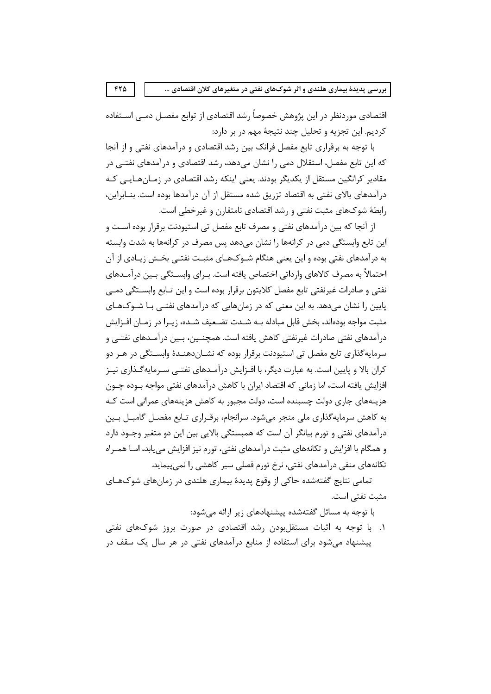اقتصادی موردنظر در این پژوهش خصوصأ رشد اقتصادی از توابع مفصـل دمــی اســتفاده کردیم. این تجزیه و تحلیل چند نتیجهٔ مهم در بر دارد:

 $FT\Delta$ 

با توجه به برقراری تابع مفصل فرانک بین رشد اقتصادی و درآمدهای نفتی و از آنجا که این تابع مفصل، استقلال دمی را نشان میدهد، رشد اقتصادی و درآمدهای نفتــی در مقادیر کرانگین مستقل از یکدیگر بودند. یعنی اینکه رشد اقتصادی در زمـانهـایــی کـه درآمدهای بالای نفتی به اقتصاد تزریق شده مستقل از آن درآمدها بوده است. بنــابراین، رابطهٔ شوکهای مثبت نفتی و رشد اقتصادی نامتقارن و غیرخطی است.

از آنجا که بین درآمدهای نفتی و مصرف تابع مفصل تی استیودنت برقرار بوده است و این تابع وابستگی دمی در کرانهها را نشان میدهد پس مصرف در کرانهها به شدت وابسته به درآمدهای نفتی بوده و این یعنی هنگام شــوکـهـای مثبـت نفتــی بخــش زیــادی از آن احتمالاً به مصرف کالاهای وارداتی اختصاص یافته است. بـرای وابســتگی بـین درآمـدهای نفتی و صادرات غیرنفتی تابع مفصل کلایتون برقرار بوده است و این تـابع وابسـتگی دمـی پایین را نشان میدهد. به این معنی که در زمانهایی که درآمدهای نفتـی بـا شـوکهـای مثبت مواجه بودهاند، بخش قابل مبادله بــه شــدت تضــعيف شــده، زيــرا در زمــان افــزايش درآمدهای نفتی صادرات غیرنفتی کاهش یافته است. همچنــین، بـین درآمـدهای نفتــی و سرمايه گذاري تابع مفصل تي استيودنت برقرار بوده كه نشــاندهنــدهٔ وابســتگي در هــر دو کران بالا و پایین است. به عبارت دیگر، با افـزایش درآمـدهای نفتـی سـرمایهگـذاری نیـز افزایش یافته است، اما زمانی که اقتصاد ایران با کاهش درآمدهای نفتی مواجه بـوده چـون هزینههای جاری دولت چسبنده است، دولت مجبور به کاهش هزینههای عمرانی است کـه به کاهش سرمایهگذاری ملی منجر میشود. سرانجام، برقـراری تـابع مفصـل گامبــل بــین درآمدهای نفتی و تورم بیانگر آن است که همبستگی بالایی بین این دو متغیر وجــود دارد و همگام با افزایش و تکانههای مثبت درآمدهای نفتی، تورم نیز افزایش می یابد، امــا همــراه تکانههای منفی درآمدهای نفتی، نرخ تورم فصلی سیر کاهشی را نمی پیماید.

تمامی نتایج گفتهشده حاکی از وقوع پدیدهٔ بیماری هلندی در زمانهای شوکهـای مثبت نفتے<sub>،</sub> است.

با توجه به مسائل گفتهشده پیشنهادهای زیر ارائه می شود:

۱. با توجه به اثبات مستقلبودن رشد اقتصادی در صورت بروز شوکهای نفتی پیشنهاد می شود برای استفاده از منابع درآمدهای نفتی در هر سال یک سقف در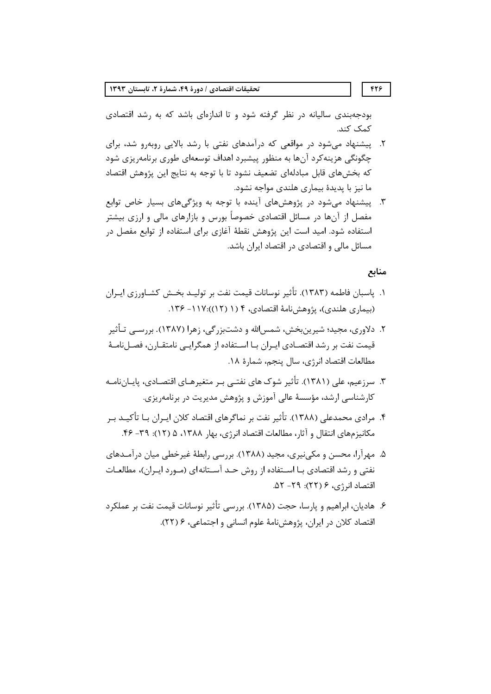بودجهبندی سالیانه در نظر گرفته شود و تا اندازهای باشد که به رشد اقتصادی كمک کند.

- ۲. پیشنهاد میشود در مواقعی که درآمدهای نفتی با رشد بالایی روبهرو شد، برای چگونگی هزینه کرد آنها به منظور پیشبرد اهداف توسعهای طوری برنامهریزی شود كه بخشهاى قابل مبادلهاى تضعيف نشود تا با توجه به نتايج اين پژوهش اقتصاد ما نیز با پدیدهٔ بیماری هلندی مواجه نشود.
- ۳. پیشنهاد می شود در پژوهش های آینده با توجه به ویژگی های بسیار خاص توابع مفصل از آنها در مسائل اقتصادی خصوصاً بورس و بازارهای مالی و ارزی بیشتر استفاده شود. امید است این پژوهش نقطهٔ آغازی برای استفاده از توابع مفصل در مسائل مالی و اقتصادی در اقتصاد ایران باشد.

منابع

- ١. ياسبان فاطمه (١٣٨٣). تأثير نوسانات قيمت نفت بر توليـد بخـش كشـاورزي ايـران (بیماری هلندی)، پژوهش نامهٔ اقتصادی، ۴ (۱ (۱۲)):۱۳۷ – ۱۳۶.
- ۲. دلاوري، مجيد؛ شيرينبخش، شمس|لله و دشتبزرگي، زهرا (۱۳۸۷). بررســي تـأثير قیمت نفت بر رشد اقتصـادی ایـران بـا اســتفاده از همگرایــی نامتقــارن، فصــلنامــهٔ مطالعات اقتصاد انرژی، سال پنجم، شمارهٔ ۱۸.
- ۳. سرزعیم، علی (۱۳۸۱). تأثیر شوک های نفتــی بـر متغیرهـای اقتصـادی، پایـانiامـه کارشناسی ارشد، مؤسسهٔ عالی آموزش و پژوهش مدیریت در برنامهریزی.
- ۴. مرادی محمدعلی (۱۳۸۸). تأثیر نفت بر نماگرهای اقتصاد کلان ایـران بـا تأکیــد بـر مكانيزمهاي انتقال و آثار، مطالعات اقتصاد انرژي، بهار ١٣٨٨، ۵ (١٢): ٣٩- ۴۶.
- ۵. مهرآرا، محسن و مکی،نیری، مجید (۱۳۸۸). بررسی رابطهٔ غیرخطی میان درآمـدهای نفتی و رشد اقتصادی بـا اســتفاده از روش حــد آســتانه ای (مــورد ايــران)، مطالعــات اقتصاد انرژی، ۶ (۲۲): ۲۹- ۵۲.
- ۶. هادیان، ابراهیم و پارسا، حجت (۱۳۸۵). بررسی تأثیر نوسانات قیمت نفت بر عملکرد اقتصاد کلان در ایران، پژوهش نامهٔ علوم انسانی و اجتماعی، ۶ (۲۲).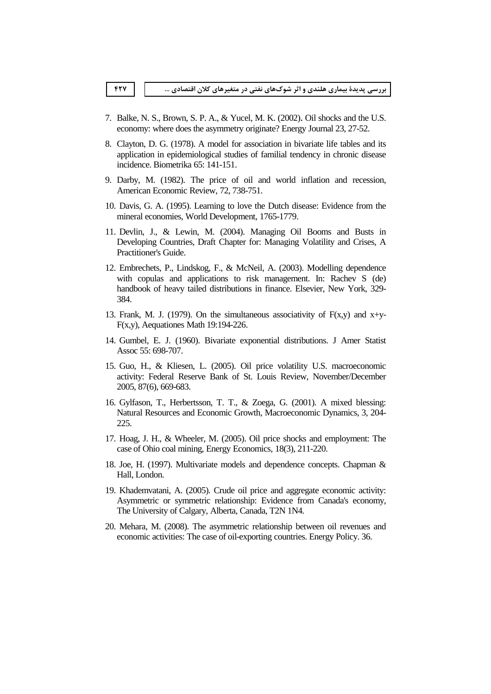- 7. Balke, N. S., Brown, S. P. A., & Yucel, M. K. (2002). Oil shocks and the U.S. economy: where does the asymmetry originate? Energy Journal 23, 27-52.
- 8. Clayton, D. G. (1978). A model for association in bivariate life tables and its application in epidemiological studies of familial tendency in chronic disease incidence. Biometrika 65: 141-151.
- 9. Darby, M. (1982). The price of oil and world inflation and recession, American Economic Review, 72, 738-751.
- 10. Davis, G. A. (1995). Learning to love the Dutch disease: Evidence from the mineral economies, World Development, 1765-1779.
- 11. Devlin, J., & Lewin, M. (2004). Managing Oil Booms and Busts in Developing Countries, Draft Chapter for: Managing Volatility and Crises, A Practitioner's Guide.
- 12. Embrechets, P., Lindskog, F., & McNeil, A. (2003). Modelling dependence with copulas and applications to risk management. In: Rachev S (de) handbook of heavy tailed distributions in finance. Elsevier, New York, 329-384.
- 13. Frank, M. J. (1979). On the simultaneous associativity of  $F(x,y)$  and  $x+y$ - $F(x,y)$ , Aequationes Math 19:194-226.
- 14. Gumbel, E. J. (1960). Bivariate exponential distributions. J Amer Statist Assoc 55: 698-707.
- 15. Guo, H., & Kliesen, L. (2005). Oil price volatility U.S. macroeconomic activity: Federal Reserve Bank of St. Louis Review, November/December 2005, 87(6), 669-683.
- 16. Gylfason, T., Herbertsson, T. T., & Zoega, G. (2001). A mixed blessing: Natural Resources and Economic Growth, Macroeconomic Dynamics, 3, 204-225.
- 17. Hoag, J. H., & Wheeler, M. (2005). Oil price shocks and employment: The case of Ohio coal mining, Energy Economics, 18(3), 211-220.
- 18. Joe, H. (1997). Multivariate models and dependence concepts. Chapman & Hall, London.
- 19. Khademvatani, A. (2005). Crude oil price and aggregate economic activity: Asymmetric or symmetric relationship: Evidence from Canada's economy, The University of Calgary, Alberta, Canada, T2N 1N4.
- 20. Mehara, M. (2008). The asymmetric relationship between oil revenues and economic activities: The case of oil-exporting countries. Energy Policy. 36.